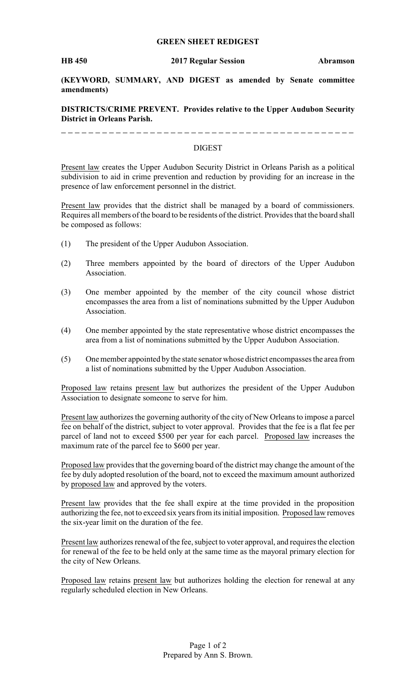## **GREEN SHEET REDIGEST**

**(KEYWORD, SUMMARY, AND DIGEST as amended by Senate committee amendments)**

**DISTRICTS/CRIME PREVENT. Provides relative to the Upper Audubon Security District in Orleans Parish.**

## DIGEST

Present law creates the Upper Audubon Security District in Orleans Parish as a political subdivision to aid in crime prevention and reduction by providing for an increase in the presence of law enforcement personnel in the district.

Present law provides that the district shall be managed by a board of commissioners. Requires all members of the board to be residents of the district. Provides that the board shall be composed as follows:

- (1) The president of the Upper Audubon Association.
- (2) Three members appointed by the board of directors of the Upper Audubon Association.
- (3) One member appointed by the member of the city council whose district encompasses the area from a list of nominations submitted by the Upper Audubon Association.
- (4) One member appointed by the state representative whose district encompasses the area from a list of nominations submitted by the Upper Audubon Association.
- (5) One member appointed by the state senator whose district encompasses the area from a list of nominations submitted by the Upper Audubon Association.

Proposed law retains present law but authorizes the president of the Upper Audubon Association to designate someone to serve for him.

Present law authorizes the governing authority of the city of New Orleans to impose a parcel fee on behalf of the district, subject to voter approval. Provides that the fee is a flat fee per parcel of land not to exceed \$500 per year for each parcel. Proposed law increases the maximum rate of the parcel fee to \$600 per year.

Proposed law provides that the governing board of the district may change the amount of the fee by duly adopted resolution of the board, not to exceed the maximum amount authorized by proposed law and approved by the voters.

Present law provides that the fee shall expire at the time provided in the proposition authorizing the fee, not to exceed six years from its initial imposition. Proposed law removes the six-year limit on the duration of the fee.

Present law authorizes renewal of the fee, subject to voter approval, and requires the election for renewal of the fee to be held only at the same time as the mayoral primary election for the city of New Orleans.

Proposed law retains present law but authorizes holding the election for renewal at any regularly scheduled election in New Orleans.